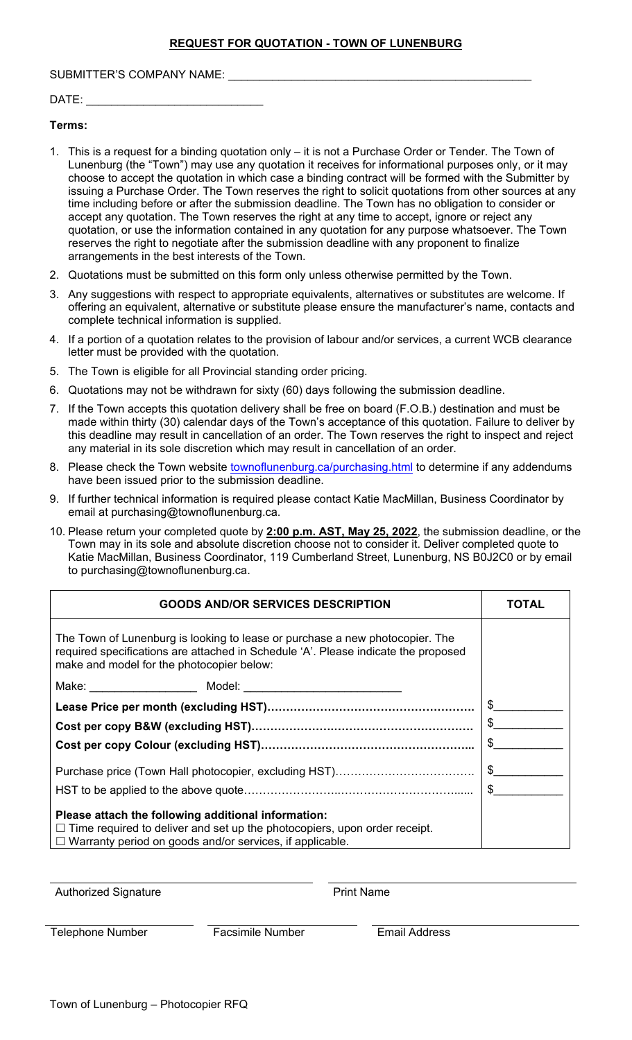#### SUBMITTER'S COMPANY NAME: \_\_\_\_\_\_\_\_\_\_\_\_\_\_\_\_\_\_\_\_\_\_\_\_\_\_\_\_\_\_\_\_\_\_\_\_\_\_\_\_\_\_\_\_\_\_\_\_

# DATE:

#### **Terms:**

- 1. This is a request for a binding quotation only it is not a Purchase Order or Tender. The Town of Lunenburg (the "Town") may use any quotation it receives for informational purposes only, or it may choose to accept the quotation in which case a binding contract will be formed with the Submitter by issuing a Purchase Order. The Town reserves the right to solicit quotations from other sources at any time including before or after the submission deadline. The Town has no obligation to consider or accept any quotation. The Town reserves the right at any time to accept, ignore or reject any quotation, or use the information contained in any quotation for any purpose whatsoever. The Town reserves the right to negotiate after the submission deadline with any proponent to finalize arrangements in the best interests of the Town.
- 2. Quotations must be submitted on this form only unless otherwise permitted by the Town.
- 3. Any suggestions with respect to appropriate equivalents, alternatives or substitutes are welcome. If offering an equivalent, alternative or substitute please ensure the manufacturer's name, contacts and complete technical information is supplied.
- 4. If a portion of a quotation relates to the provision of labour and/or services, a current WCB clearance letter must be provided with the quotation.
- 5. The Town is eligible for all Provincial standing order pricing.
- 6. Quotations may not be withdrawn for sixty (60) days following the submission deadline.
- 7. If the Town accepts this quotation delivery shall be free on board (F.O.B.) destination and must be made within thirty (30) calendar days of the Town's acceptance of this quotation. Failure to deliver by this deadline may result in cancellation of an order. The Town reserves the right to inspect and reject any material in its sole discretion which may result in cancellation of an order.
- 8. Please check the Town website townoflunenburg.ca/purchasing.html to determine if any addendums have been issued prior to the submission deadline.
- 9. If further technical information is required please contact Katie MacMillan, Business Coordinator by email at purchasing@townoflunenburg.ca.
- 10. Please return your completed quote by **2:00 p.m. AST, May 25, 2022**, the submission deadline, or the Town may in its sole and absolute discretion choose not to consider it. Deliver completed quote to Katie MacMillan, Business Coordinator, 119 Cumberland Street, Lunenburg, NS B0J2C0 or by email to purchasing@townoflunenburg.ca.

| <b>GOODS AND/OR SERVICES DESCRIPTION</b>                                                                                                                                                                        | <b>TOTAL</b>  |
|-----------------------------------------------------------------------------------------------------------------------------------------------------------------------------------------------------------------|---------------|
| The Town of Lunenburg is looking to lease or purchase a new photocopier. The<br>required specifications are attached in Schedule 'A'. Please indicate the proposed<br>make and model for the photocopier below: |               |
|                                                                                                                                                                                                                 |               |
|                                                                                                                                                                                                                 | $\frac{1}{2}$ |
|                                                                                                                                                                                                                 |               |
|                                                                                                                                                                                                                 | \$            |
|                                                                                                                                                                                                                 | $\mathfrak s$ |
|                                                                                                                                                                                                                 | $\mathbb{S}$  |
| Please attach the following additional information:<br>$\Box$ Time required to deliver and set up the photocopiers, upon order receipt.<br>$\Box$ Warranty period on goods and/or services, if applicable.      |               |

Authorized Signature **Authorized Signature Print Name** 

Telephone Number Facsimile Number Email Address